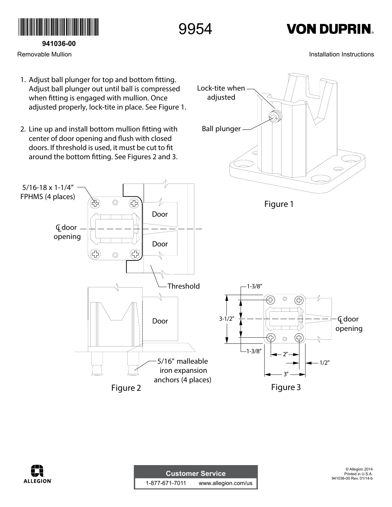

**941036-00**

Removable Mullion

9954

Lock-tite when adjusted

## **VON DUPRIN.**

Installation Instructions



2. Line up and install bottom mullion fitting with Ball plunger center of door opening and flush with closed doors. If threshold is used, it must be cut to fit around the bottom fitting. See Figures 2 and 3.





| <b>Customer Service</b> ' |                     |
|---------------------------|---------------------|
| 1-877-671-7011            | www.allegion.com/us |